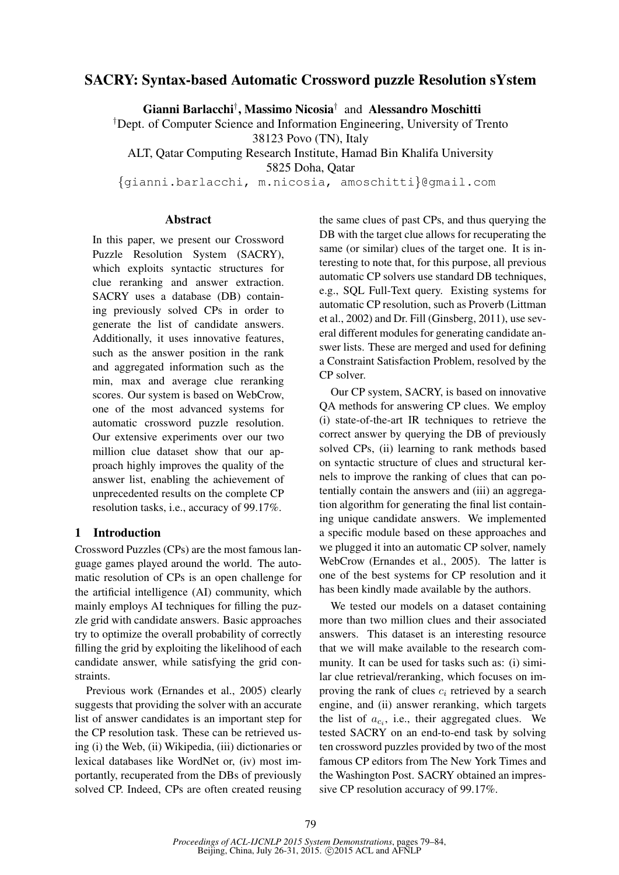# SACRY: Syntax-based Automatic Crossword puzzle Resolution sYstem

Gianni Barlacchi† , Massimo Nicosia† and Alessandro Moschitti

†Dept. of Computer Science and Information Engineering, University of Trento

38123 Povo (TN), Italy

ALT, Qatar Computing Research Institute, Hamad Bin Khalifa University 5825 Doha, Qatar

{gianni.barlacchi, m.nicosia, amoschitti}@gmail.com

## **Abstract**

In this paper, we present our Crossword Puzzle Resolution System (SACRY), which exploits syntactic structures for clue reranking and answer extraction. SACRY uses a database (DB) containing previously solved CPs in order to generate the list of candidate answers. Additionally, it uses innovative features, such as the answer position in the rank and aggregated information such as the min, max and average clue reranking scores. Our system is based on WebCrow, one of the most advanced systems for automatic crossword puzzle resolution. Our extensive experiments over our two million clue dataset show that our approach highly improves the quality of the answer list, enabling the achievement of unprecedented results on the complete CP resolution tasks, i.e., accuracy of 99.17%.

### 1 Introduction

Crossword Puzzles (CPs) are the most famous language games played around the world. The automatic resolution of CPs is an open challenge for the artificial intelligence (AI) community, which mainly employs AI techniques for filling the puzzle grid with candidate answers. Basic approaches try to optimize the overall probability of correctly filling the grid by exploiting the likelihood of each candidate answer, while satisfying the grid constraints.

Previous work (Ernandes et al., 2005) clearly suggests that providing the solver with an accurate list of answer candidates is an important step for the CP resolution task. These can be retrieved using (i) the Web, (ii) Wikipedia, (iii) dictionaries or lexical databases like WordNet or, (iv) most importantly, recuperated from the DBs of previously solved CP. Indeed, CPs are often created reusing the same clues of past CPs, and thus querying the DB with the target clue allows for recuperating the same (or similar) clues of the target one. It is interesting to note that, for this purpose, all previous automatic CP solvers use standard DB techniques, e.g., SQL Full-Text query. Existing systems for automatic CP resolution, such as Proverb (Littman et al., 2002) and Dr. Fill (Ginsberg, 2011), use several different modules for generating candidate answer lists. These are merged and used for defining a Constraint Satisfaction Problem, resolved by the CP solver.

Our CP system, SACRY, is based on innovative QA methods for answering CP clues. We employ (i) state-of-the-art IR techniques to retrieve the correct answer by querying the DB of previously solved CPs, (ii) learning to rank methods based on syntactic structure of clues and structural kernels to improve the ranking of clues that can potentially contain the answers and (iii) an aggregation algorithm for generating the final list containing unique candidate answers. We implemented a specific module based on these approaches and we plugged it into an automatic CP solver, namely WebCrow (Ernandes et al., 2005). The latter is one of the best systems for CP resolution and it has been kindly made available by the authors.

We tested our models on a dataset containing more than two million clues and their associated answers. This dataset is an interesting resource that we will make available to the research community. It can be used for tasks such as: (i) similar clue retrieval/reranking, which focuses on improving the rank of clues  $c_i$  retrieved by a search engine, and (ii) answer reranking, which targets the list of  $a_{c_i}$ , i.e., their aggregated clues. We tested SACRY on an end-to-end task by solving ten crossword puzzles provided by two of the most famous CP editors from The New York Times and the Washington Post. SACRY obtained an impressive CP resolution accuracy of 99.17%.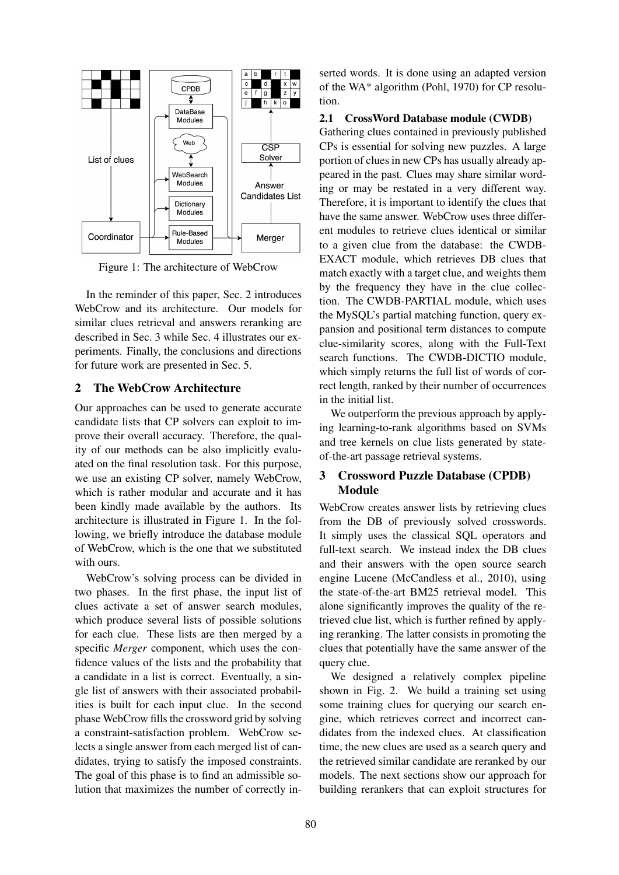

Figure 1: The architecture of WebCrow

In the reminder of this paper, Sec. 2 introduces WebCrow and its architecture. Our models for similar clues retrieval and answers reranking are described in Sec. 3 while Sec. 4 illustrates our experiments. Finally, the conclusions and directions for future work are presented in Sec. 5.

## 2 The WebCrow Architecture

Our approaches can be used to generate accurate candidate lists that CP solvers can exploit to improve their overall accuracy. Therefore, the quality of our methods can be also implicitly evaluated on the final resolution task. For this purpose, we use an existing CP solver, namely WebCrow, which is rather modular and accurate and it has been kindly made available by the authors. Its architecture is illustrated in Figure 1. In the following, we briefly introduce the database module of WebCrow, which is the one that we substituted with ours.

WebCrow's solving process can be divided in two phases. In the first phase, the input list of clues activate a set of answer search modules, which produce several lists of possible solutions for each clue. These lists are then merged by a specific *Merger* component, which uses the confidence values of the lists and the probability that a candidate in a list is correct. Eventually, a single list of answers with their associated probabilities is built for each input clue. In the second phase WebCrow fills the crossword grid by solving a constraint-satisfaction problem. WebCrow selects a single answer from each merged list of candidates, trying to satisfy the imposed constraints. The goal of this phase is to find an admissible solution that maximizes the number of correctly inserted words. It is done using an adapted version of the WA\* algorithm (Pohl, 1970) for CP resolution.

### 2.1 CrossWord Database module (CWDB)

Gathering clues contained in previously published CPs is essential for solving new puzzles. A large portion of clues in new CPs has usually already appeared in the past. Clues may share similar wording or may be restated in a very different way. Therefore, it is important to identify the clues that have the same answer. WebCrow uses three different modules to retrieve clues identical or similar to a given clue from the database: the CWDB-EXACT module, which retrieves DB clues that match exactly with a target clue, and weights them by the frequency they have in the clue collection. The CWDB-PARTIAL module, which uses the MySQL's partial matching function, query expansion and positional term distances to compute clue-similarity scores, along with the Full-Text search functions. The CWDB-DICTIO module, which simply returns the full list of words of correct length, ranked by their number of occurrences in the initial list.

We outperform the previous approach by applying learning-to-rank algorithms based on SVMs and tree kernels on clue lists generated by stateof-the-art passage retrieval systems.

# 3 Crossword Puzzle Database (CPDB) Module

WebCrow creates answer lists by retrieving clues from the DB of previously solved crosswords. It simply uses the classical SQL operators and full-text search. We instead index the DB clues and their answers with the open source search engine Lucene (McCandless et al., 2010), using the state-of-the-art BM25 retrieval model. This alone significantly improves the quality of the retrieved clue list, which is further refined by applying reranking. The latter consists in promoting the clues that potentially have the same answer of the query clue.

We designed a relatively complex pipeline shown in Fig. 2. We build a training set using some training clues for querying our search engine, which retrieves correct and incorrect candidates from the indexed clues. At classification time, the new clues are used as a search query and the retrieved similar candidate are reranked by our models. The next sections show our approach for building rerankers that can exploit structures for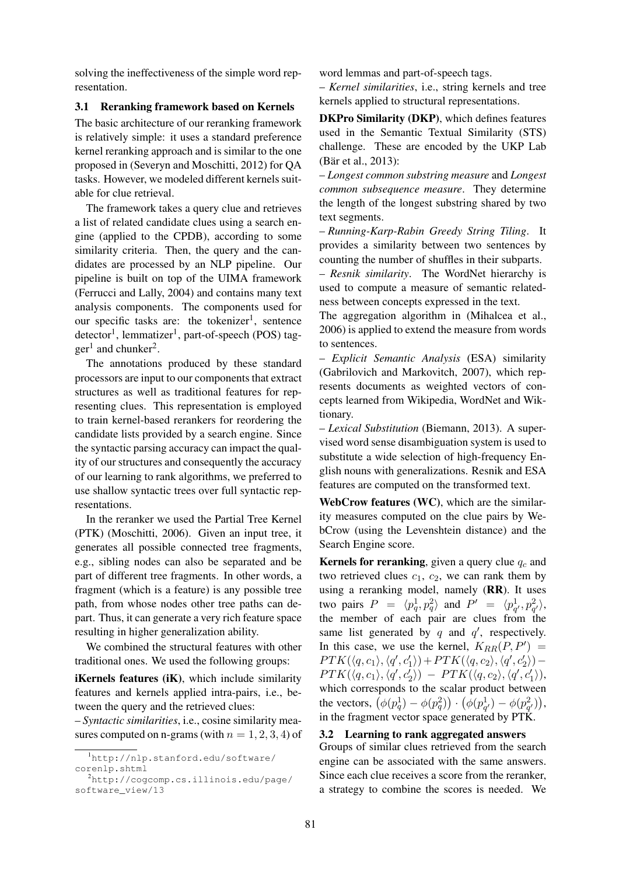solving the ineffectiveness of the simple word representation.

# 3.1 Reranking framework based on Kernels

The basic architecture of our reranking framework is relatively simple: it uses a standard preference kernel reranking approach and is similar to the one proposed in (Severyn and Moschitti, 2012) for QA tasks. However, we modeled different kernels suitable for clue retrieval.

The framework takes a query clue and retrieves a list of related candidate clues using a search engine (applied to the CPDB), according to some similarity criteria. Then, the query and the candidates are processed by an NLP pipeline. Our pipeline is built on top of the UIMA framework (Ferrucci and Lally, 2004) and contains many text analysis components. The components used for our specific tasks are: the tokenizer<sup>1</sup>, sentence detector<sup>1</sup>, lemmatizer<sup>1</sup>, part-of-speech (POS) tag $ger<sup>1</sup>$  and chunker<sup>2</sup>.

The annotations produced by these standard processors are input to our components that extract structures as well as traditional features for representing clues. This representation is employed to train kernel-based rerankers for reordering the candidate lists provided by a search engine. Since the syntactic parsing accuracy can impact the quality of our structures and consequently the accuracy of our learning to rank algorithms, we preferred to use shallow syntactic trees over full syntactic representations.

In the reranker we used the Partial Tree Kernel (PTK) (Moschitti, 2006). Given an input tree, it generates all possible connected tree fragments, e.g., sibling nodes can also be separated and be part of different tree fragments. In other words, a fragment (which is a feature) is any possible tree path, from whose nodes other tree paths can depart. Thus, it can generate a very rich feature space resulting in higher generalization ability.

We combined the structural features with other traditional ones. We used the following groups:

iKernels features (iK), which include similarity features and kernels applied intra-pairs, i.e., between the query and the retrieved clues:

– *Syntactic similarities*, i.e., cosine similarity measures computed on n-grams (with  $n = 1, 2, 3, 4$ ) of word lemmas and part-of-speech tags.

– *Kernel similarities*, i.e., string kernels and tree kernels applied to structural representations.

DKPro Similarity (DKP), which defines features used in the Semantic Textual Similarity (STS) challenge. These are encoded by the UKP Lab (Bär et al., 2013):

– *Longest common substring measure* and *Longest common subsequence measure*. They determine the length of the longest substring shared by two text segments.

– *Running-Karp-Rabin Greedy String Tiling*. It provides a similarity between two sentences by counting the number of shuffles in their subparts.

– *Resnik similarity*. The WordNet hierarchy is used to compute a measure of semantic relatedness between concepts expressed in the text.

The aggregation algorithm in (Mihalcea et al., 2006) is applied to extend the measure from words to sentences.

– *Explicit Semantic Analysis* (ESA) similarity (Gabrilovich and Markovitch, 2007), which represents documents as weighted vectors of concepts learned from Wikipedia, WordNet and Wiktionary.

– *Lexical Substitution* (Biemann, 2013). A supervised word sense disambiguation system is used to substitute a wide selection of high-frequency English nouns with generalizations. Resnik and ESA features are computed on the transformed text.

WebCrow features (WC), which are the similarity measures computed on the clue pairs by WebCrow (using the Levenshtein distance) and the Search Engine score.

Kernels for reranking, given a query clue  $q_c$  and two retrieved clues  $c_1$ ,  $c_2$ , we can rank them by using a reranking model, namely (RR). It uses two pairs  $P = \langle p_q^1, p_q^2 \rangle$  and  $P' = \langle p_{q'}^1, p_{q'}^2 \rangle$ , the member of each pair are clues from the same list generated by q and  $q'$ , respectively. In this case, we use the kernel,  $K_{RR}(P, P') =$  $PTK(\langle q, c_1 \rangle, \langle q', c'_1 \rangle) + PTK(\langle q, c_2 \rangle, \langle q', c'_2 \rangle) PTK(\langle q, c_1 \rangle, \langle q', c'_2 \rangle) - PTK(\langle q, c_2 \rangle, \langle q', c'_1 \rangle),$ which corresponds to the scalar product between the vectors,  $(\phi(p_q^1) - \phi(p_q^2)) \cdot (\phi(p_{q'}^1) - \phi(p_{q'}^2)),$ in the fragment vector space generated by PTK.

# 3.2 Learning to rank aggregated answers

Groups of similar clues retrieved from the search engine can be associated with the same answers. Since each clue receives a score from the reranker, a strategy to combine the scores is needed. We

<sup>1</sup>http://nlp.stanford.edu/software/ corenlp.shtml

<sup>2</sup>http://cogcomp.cs.illinois.edu/page/ software\_view/13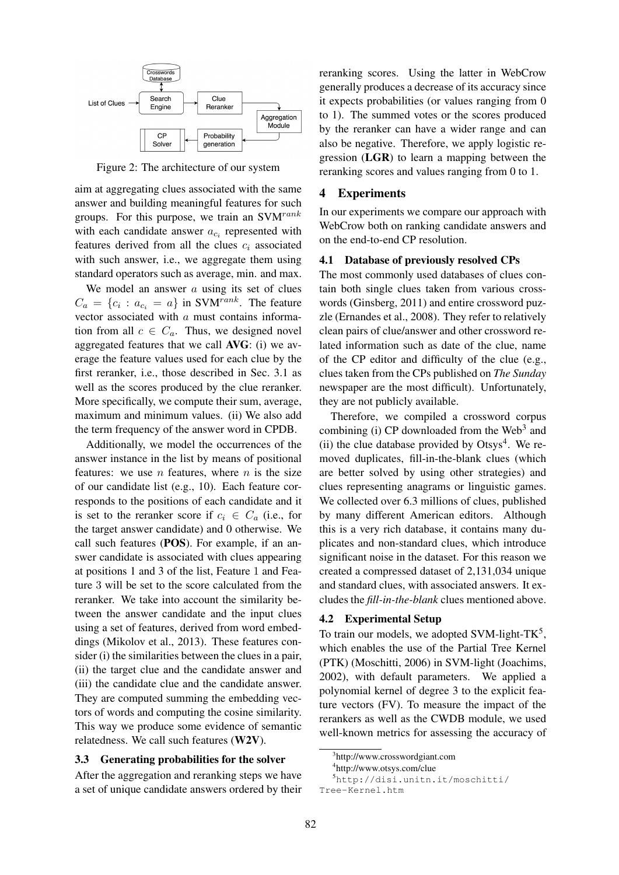

Figure 2: The architecture of our system

aim at aggregating clues associated with the same answer and building meaningful features for such groups. For this purpose, we train an  $SVM^{rank}$ with each candidate answer  $a_{c_i}$  represented with features derived from all the clues  $c_i$  associated with such answer, i.e., we aggregate them using standard operators such as average, min. and max.

We model an answer  $a$  using its set of clues  $C_a = \{c_i : a_{c_i} = a\}$  in SVM<sup>rank</sup>. The feature vector associated with  $a$  must contains information from all  $c \in C_a$ . Thus, we designed novel aggregated features that we call AVG: (i) we average the feature values used for each clue by the first reranker, i.e., those described in Sec. 3.1 as well as the scores produced by the clue reranker. More specifically, we compute their sum, average, maximum and minimum values. (ii) We also add the term frequency of the answer word in CPDB.

Additionally, we model the occurrences of the answer instance in the list by means of positional features: we use  $n$  features, where  $n$  is the size of our candidate list (e.g., 10). Each feature corresponds to the positions of each candidate and it is set to the reranker score if  $c_i \in C_a$  (i.e., for the target answer candidate) and 0 otherwise. We call such features (POS). For example, if an answer candidate is associated with clues appearing at positions 1 and 3 of the list, Feature 1 and Feature 3 will be set to the score calculated from the reranker. We take into account the similarity between the answer candidate and the input clues using a set of features, derived from word embeddings (Mikolov et al., 2013). These features consider (i) the similarities between the clues in a pair, (ii) the target clue and the candidate answer and (iii) the candidate clue and the candidate answer. They are computed summing the embedding vectors of words and computing the cosine similarity. This way we produce some evidence of semantic relatedness. We call such features (W2V).

# 3.3 Generating probabilities for the solver

After the aggregation and reranking steps we have a set of unique candidate answers ordered by their reranking scores. Using the latter in WebCrow generally produces a decrease of its accuracy since it expects probabilities (or values ranging from 0 to 1). The summed votes or the scores produced by the reranker can have a wider range and can also be negative. Therefore, we apply logistic regression (LGR) to learn a mapping between the reranking scores and values ranging from 0 to 1.

#### 4 Experiments

In our experiments we compare our approach with WebCrow both on ranking candidate answers and on the end-to-end CP resolution.

# 4.1 Database of previously resolved CPs

The most commonly used databases of clues contain both single clues taken from various crosswords (Ginsberg, 2011) and entire crossword puzzle (Ernandes et al., 2008). They refer to relatively clean pairs of clue/answer and other crossword related information such as date of the clue, name of the CP editor and difficulty of the clue (e.g., clues taken from the CPs published on *The Sunday* newspaper are the most difficult). Unfortunately, they are not publicly available.

Therefore, we compiled a crossword corpus combining (i) CP downloaded from the Web<sup>3</sup> and (ii) the clue database provided by  $Otsys<sup>4</sup>$ . We removed duplicates, fill-in-the-blank clues (which are better solved by using other strategies) and clues representing anagrams or linguistic games. We collected over 6.3 millions of clues, published by many different American editors. Although this is a very rich database, it contains many duplicates and non-standard clues, which introduce significant noise in the dataset. For this reason we created a compressed dataset of 2,131,034 unique and standard clues, with associated answers. It excludes the *fill-in-the-blank* clues mentioned above.

# 4.2 Experimental Setup

To train our models, we adopted SVM-light- $TK<sup>5</sup>$ , which enables the use of the Partial Tree Kernel (PTK) (Moschitti, 2006) in SVM-light (Joachims, 2002), with default parameters. We applied a polynomial kernel of degree 3 to the explicit feature vectors (FV). To measure the impact of the rerankers as well as the CWDB module, we used well-known metrics for assessing the accuracy of

<sup>5</sup>http://disi.unitn.it/moschitti/ Tree-Kernel.htm

<sup>3</sup> http://www.crosswordgiant.com

<sup>4</sup> http://www.otsys.com/clue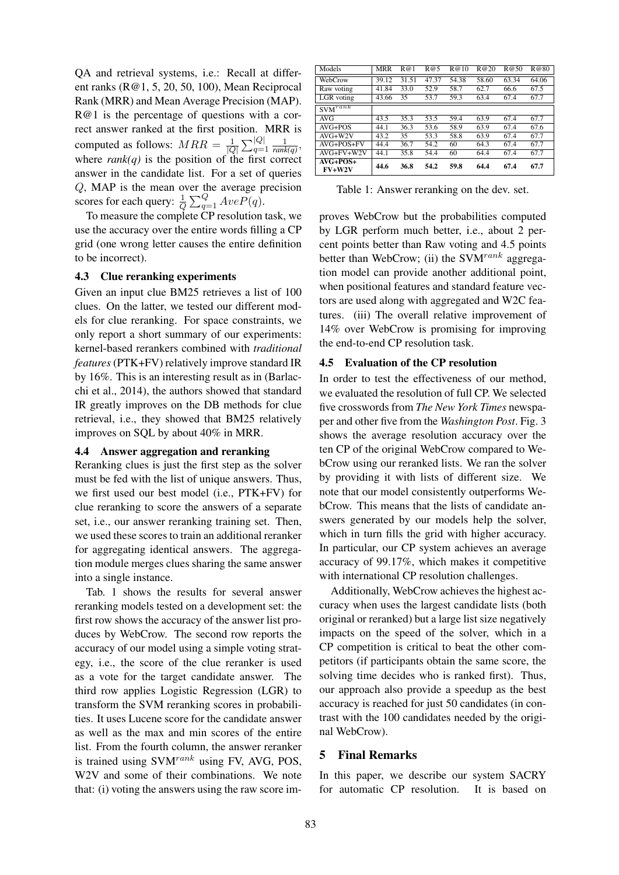QA and retrieval systems, i.e.: Recall at different ranks (R@1, 5, 20, 50, 100), Mean Reciprocal Rank (MRR) and Mean Average Precision (MAP). R@1 is the percentage of questions with a correct answer ranked at the first position. MRR is computed as follows:  $MRR = \frac{1}{10}$  $\frac{1}{|Q|} \sum_{q=1}^{|Q|} \frac{1}{\text{rank}(q)},$ where  $rank(q)$  is the position of the first correct answer in the candidate list. For a set of queries Q, MAP is the mean over the average precision scores for each query:  $\frac{1}{Q} \sum_{q=1}^{Q} AveP(q)$ .

To measure the complete CP resolution task, we use the accuracy over the entire words filling a CP grid (one wrong letter causes the entire definition to be incorrect).

#### 4.3 Clue reranking experiments

Given an input clue BM25 retrieves a list of 100 clues. On the latter, we tested our different models for clue reranking. For space constraints, we only report a short summary of our experiments: kernel-based rerankers combined with *traditional features* (PTK+FV) relatively improve standard IR by 16%. This is an interesting result as in (Barlacchi et al., 2014), the authors showed that standard IR greatly improves on the DB methods for clue retrieval, i.e., they showed that BM25 relatively improves on SQL by about 40% in MRR.

# 4.4 Answer aggregation and reranking

Reranking clues is just the first step as the solver must be fed with the list of unique answers. Thus, we first used our best model (i.e., PTK+FV) for clue reranking to score the answers of a separate set, i.e., our answer reranking training set. Then, we used these scores to train an additional reranker for aggregating identical answers. The aggregation module merges clues sharing the same answer into a single instance.

Tab. 1 shows the results for several answer reranking models tested on a development set: the first row shows the accuracy of the answer list produces by WebCrow. The second row reports the accuracy of our model using a simple voting strategy, i.e., the score of the clue reranker is used as a vote for the target candidate answer. The third row applies Logistic Regression (LGR) to transform the SVM reranking scores in probabilities. It uses Lucene score for the candidate answer as well as the max and min scores of the entire list. From the fourth column, the answer reranker is trained using  $SVM^{rank}$  using FV, AVG, POS, W2V and some of their combinations. We note that: (i) voting the answers using the raw score im-

| Models                         | <b>MRR</b>        | R@1   | R@5   | R@10  | R@20  | R@50  | R@80  |
|--------------------------------|-------------------|-------|-------|-------|-------|-------|-------|
| WebCrow                        | 39.12             | 31.51 | 47.37 | 54.38 | 58.60 | 63.34 | 64.06 |
| Raw voting                     | 41.84             | 33.0  | 52.9  | 58.7  | 62.7  | 66.6  | 67.5  |
| LGR voting                     | 43.66             | 35    | 53.7  | 59.3  | 63.4  | 67.4  | 67.7  |
| $\text{SVM}^{r\overline{ank}}$ |                   |       |       |       |       |       |       |
| AVG                            | $\overline{43.5}$ | 35.3  | 53.5  | 59.4  | 63.9  | 67.4  | 67.7  |
| $AVG+POS$                      | 44.1              | 36.3  | 53.6  | 58.9  | 63.9  | 67.4  | 67.6  |
| $AVG+W2V$                      | 43.2              | 35    | 53.3  | 58.8  | 63.9  | 67.4  | 67.7  |
| $AVG+POS+FV$                   | 44.4              | 36.7  | 54.2  | 60    | 64.3  | 67.4  | 67.7  |
| $AVG+FV+W2V$                   | 44.1              | 35.8  | 54.4  | 60    | 64.4  | 67.4  | 67.7  |
| $AVG+POS+$<br>$FV+W2V$         | 44.6              | 36.8  | 54.2  | 59.8  | 64.4  | 67.4  | 67.7  |

Table 1: Answer reranking on the dev. set.

proves WebCrow but the probabilities computed by LGR perform much better, i.e., about 2 percent points better than Raw voting and 4.5 points better than WebCrow; (ii) the SVM<sup>rank</sup> aggregation model can provide another additional point, when positional features and standard feature vectors are used along with aggregated and W2C features. (iii) The overall relative improvement of 14% over WebCrow is promising for improving the end-to-end CP resolution task.

#### 4.5 Evaluation of the CP resolution

In order to test the effectiveness of our method, we evaluated the resolution of full CP. We selected five crosswords from *The New York Times* newspaper and other five from the *Washington Post*. Fig. 3 shows the average resolution accuracy over the ten CP of the original WebCrow compared to WebCrow using our reranked lists. We ran the solver by providing it with lists of different size. We note that our model consistently outperforms WebCrow. This means that the lists of candidate answers generated by our models help the solver, which in turn fills the grid with higher accuracy. In particular, our CP system achieves an average accuracy of 99.17%, which makes it competitive with international CP resolution challenges.

Additionally, WebCrow achieves the highest accuracy when uses the largest candidate lists (both original or reranked) but a large list size negatively impacts on the speed of the solver, which in a CP competition is critical to beat the other competitors (if participants obtain the same score, the solving time decides who is ranked first). Thus, our approach also provide a speedup as the best accuracy is reached for just 50 candidates (in contrast with the 100 candidates needed by the original WebCrow).

# 5 Final Remarks

In this paper, we describe our system SACRY for automatic CP resolution. It is based on